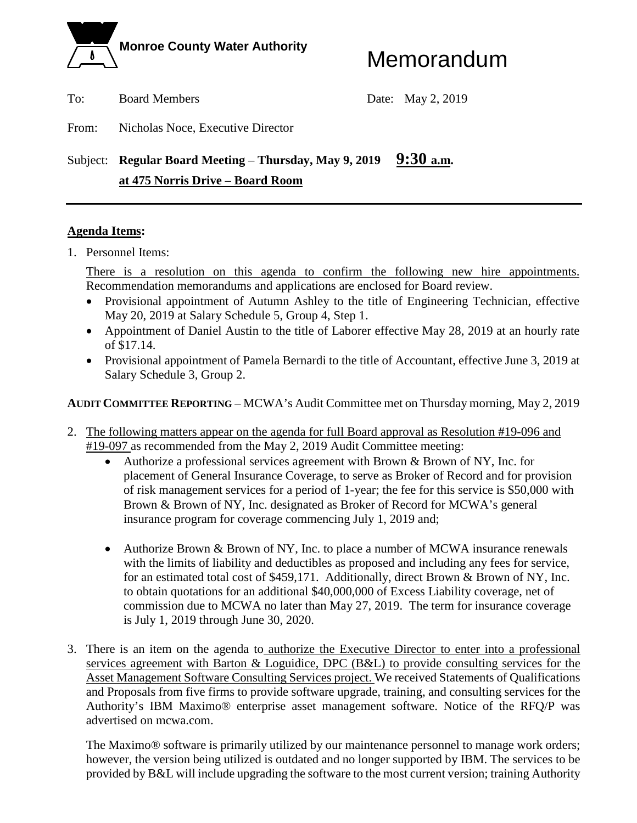

To: Board Members Date: May 2, 2019

From: Nicholas Noce, Executive Director

## Subject: **Regular Board Meeting** – **Thursday, May 9, 2019 9:30 a.m. at 475 Norris Drive – Board Room**

#### **Agenda Items:**

1. Personnel Items:

There is a resolution on this agenda to confirm the following new hire appointments. Recommendation memorandums and applications are enclosed for Board review.

- Provisional appointment of Autumn Ashley to the title of Engineering Technician, effective May 20, 2019 at Salary Schedule 5, Group 4, Step 1.
- Appointment of Daniel Austin to the title of Laborer effective May 28, 2019 at an hourly rate of \$17.14.
- Provisional appointment of Pamela Bernardi to the title of Accountant, effective June 3, 2019 at Salary Schedule 3, Group 2.

**AUDIT COMMITTEE REPORTING** – MCWA's Audit Committee met on Thursday morning, May 2, 2019

- 2. The following matters appear on the agenda for full Board approval as Resolution #19-096 and #19-097 as recommended from the May 2, 2019 Audit Committee meeting:
	- Authorize a professional services agreement with Brown & Brown of NY, Inc. for placement of General Insurance Coverage, to serve as Broker of Record and for provision of risk management services for a period of 1-year; the fee for this service is \$50,000 with Brown & Brown of NY, Inc. designated as Broker of Record for MCWA's general insurance program for coverage commencing July 1, 2019 and;
	- Authorize Brown & Brown of NY, Inc. to place a number of MCWA insurance renewals with the limits of liability and deductibles as proposed and including any fees for service, for an estimated total cost of \$459,171. Additionally, direct Brown & Brown of NY, Inc. to obtain quotations for an additional \$40,000,000 of Excess Liability coverage, net of commission due to MCWA no later than May 27, 2019. The term for insurance coverage is July 1, 2019 through June 30, 2020.
- 3. There is an item on the agenda to authorize the Executive Director to enter into a professional services agreement with Barton & Loguidice, DPC (B&L) to provide consulting services for the Asset Management Software Consulting Services project. We received Statements of Qualifications and Proposals from five firms to provide software upgrade, training, and consulting services for the Authority's IBM Maximo® enterprise asset management software. Notice of the RFQ/P was advertised on mcwa.com.

The Maximo® software is primarily utilized by our maintenance personnel to manage work orders; however, the version being utilized is outdated and no longer supported by IBM. The services to be provided by B&L will include upgrading the software to the most current version; training Authority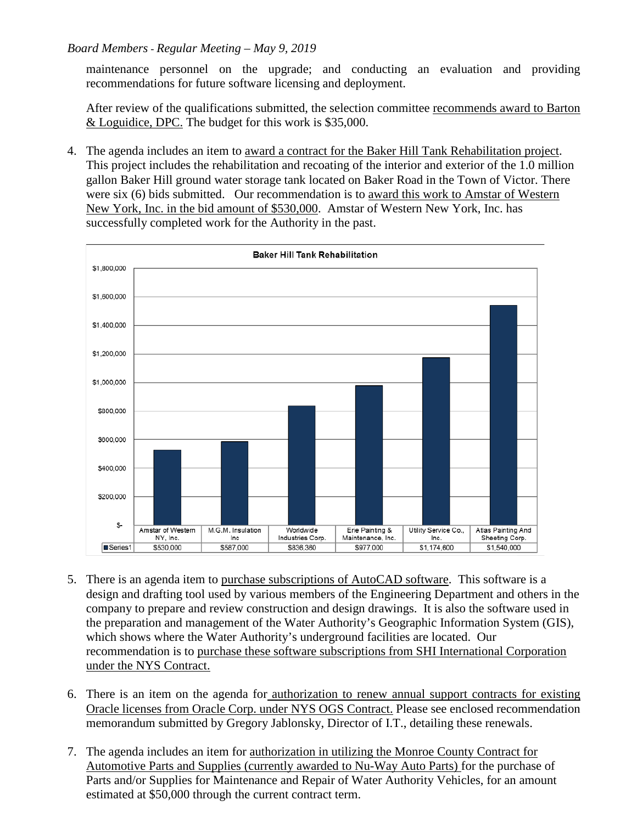#### *Board Members - Regular Meeting – May 9, 2019*

maintenance personnel on the upgrade; and conducting an evaluation and providing recommendations for future software licensing and deployment.

After review of the qualifications submitted, the selection committee recommends award to Barton & Loguidice, DPC. The budget for this work is \$35,000.

4. The agenda includes an item to award a contract for the Baker Hill Tank Rehabilitation project. This project includes the rehabilitation and recoating of the interior and exterior of the 1.0 million gallon Baker Hill ground water storage tank located on Baker Road in the Town of Victor. There were six (6) bids submitted. Our recommendation is to award this work to Amstar of Western New York, Inc. in the bid amount of \$530,000. Amstar of Western New York, Inc. has successfully completed work for the Authority in the past.



- 5. There is an agenda item to purchase subscriptions of AutoCAD software. This software is a design and drafting tool used by various members of the Engineering Department and others in the company to prepare and review construction and design drawings. It is also the software used in the preparation and management of the Water Authority's Geographic Information System (GIS), which shows where the Water Authority's underground facilities are located. Our recommendation is to purchase these software subscriptions from SHI International Corporation under the NYS Contract.
- 6. There is an item on the agenda for authorization to renew annual support contracts for existing Oracle licenses from Oracle Corp. under NYS OGS Contract. Please see enclosed recommendation memorandum submitted by Gregory Jablonsky, Director of I.T., detailing these renewals.
- 7. The agenda includes an item for authorization in utilizing the Monroe County Contract for Automotive Parts and Supplies (currently awarded to Nu-Way Auto Parts) for the purchase of Parts and/or Supplies for Maintenance and Repair of Water Authority Vehicles, for an amount estimated at \$50,000 through the current contract term.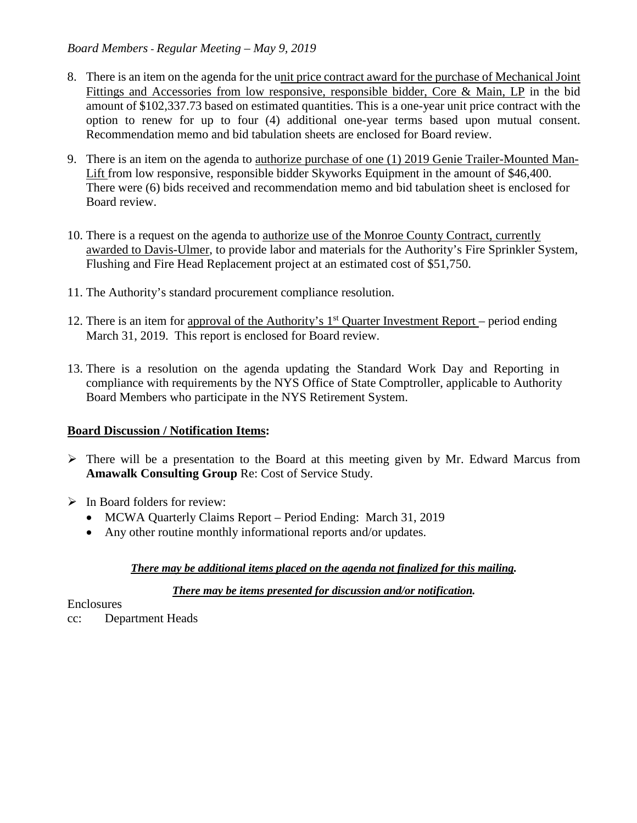- 8. There is an item on the agenda for the unit price contract award for the purchase of Mechanical Joint Fittings and Accessories from low responsive, responsible bidder, Core & Main, LP in the bid amount of \$102,337.73 based on estimated quantities. This is a one-year unit price contract with the option to renew for up to four (4) additional one-year terms based upon mutual consent. Recommendation memo and bid tabulation sheets are enclosed for Board review.
- 9. There is an item on the agenda to authorize purchase of one (1) 2019 Genie Trailer-Mounted Man-Lift from low responsive, responsible bidder Skyworks Equipment in the amount of \$46,400. There were (6) bids received and recommendation memo and bid tabulation sheet is enclosed for Board review.
- 10. There is a request on the agenda to authorize use of the Monroe County Contract, currently awarded to Davis-Ulmer, to provide labor and materials for the Authority's Fire Sprinkler System, Flushing and Fire Head Replacement project at an estimated cost of \$51,750.
- 11. The Authority's standard procurement compliance resolution.
- 12. There is an item for approval of the Authority's  $1<sup>st</sup>$  Quarter Investment Report period ending March 31, 2019. This report is enclosed for Board review.
- 13. There is a resolution on the agenda updating the Standard Work Day and Reporting in compliance with requirements by the NYS Office of State Comptroller, applicable to Authority Board Members who participate in the NYS Retirement System.

### **Board Discussion / Notification Items:**

- $\triangleright$  There will be a presentation to the Board at this meeting given by Mr. Edward Marcus from **Amawalk Consulting Group** Re: Cost of Service Study.
- $\triangleright$  In Board folders for review:
	- MCWA Quarterly Claims Report Period Ending: March 31, 2019
	- Any other routine monthly informational reports and/or updates.

### *There may be additional items placed on the agenda not finalized for this mailing.*

#### *There may be items presented for discussion and/or notification.*

#### **Enclosures**

cc: Department Heads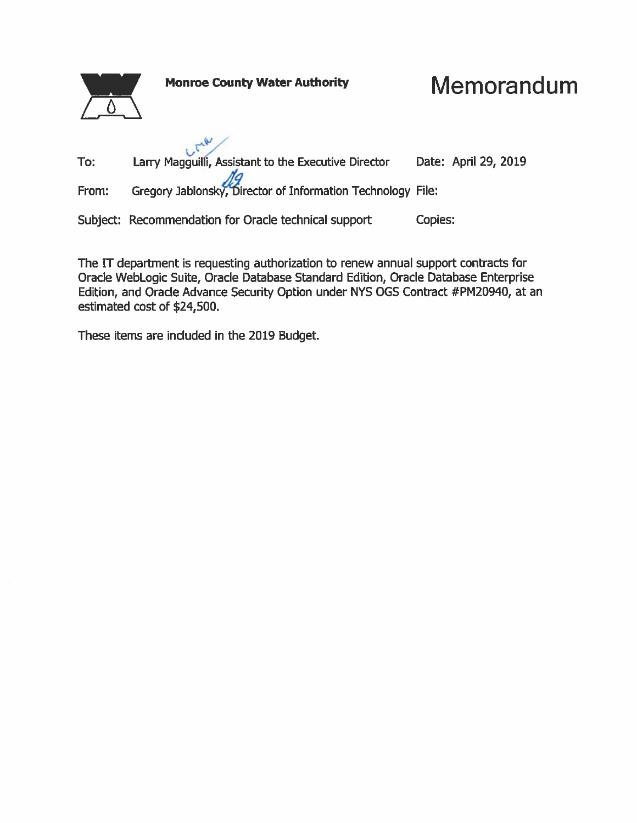

The IT department is requesting authorization to renew annual support contracts for Oracle WebLogic Suite, Oracle Database Standard Edition, Oracle Database Enterprise Edition, and Oracle Advance Security Option under NYS OGS Contract #PM20940, at an estimated cost of \$24,500.

These items are included in the 2019 Budget.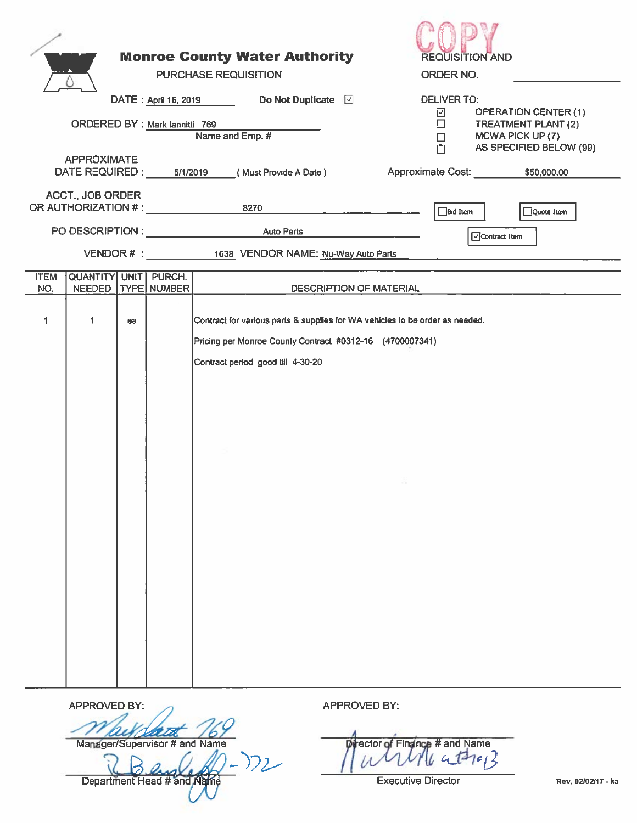|                    |                                                      |    |                      | <b>Monroe County Water Authority</b><br><b>PURCHASE REQUISITION</b>                           |                     | <b>REQUISITION AND</b><br>ORDER NO.                                                      |
|--------------------|------------------------------------------------------|----|----------------------|-----------------------------------------------------------------------------------------------|---------------------|------------------------------------------------------------------------------------------|
|                    |                                                      |    | DATE: April 16, 2019 | Do Not Duplicate <b>D</b>                                                                     |                     | <b>DELIVER TO:</b><br><b>OPERATION CENTER (1)</b><br>⊡                                   |
|                    | ORDERED BY : Mark lannitti 769                       |    |                      | Name and Emp. #                                                                               |                     | $\Box$<br><b>TREATMENT PLANT (2)</b><br>MCWA PICK UP (7)<br>□<br>AS SPECIFIED BELOW (99) |
|                    | <b>APPROXIMATE</b><br>DATE REQUIRED : 5/1/2019       |    |                      | (Must Provide A Date)                                                                         |                     | Approximate Cost: \$50,000.00                                                            |
|                    | <b>ACCT., JOB ORDER</b><br>OR AUTHORIZATION # : 8270 |    |                      |                                                                                               |                     | <b>Bid Item</b><br>Quote Item                                                            |
|                    |                                                      |    |                      |                                                                                               |                     | Contract Item                                                                            |
|                    |                                                      |    |                      | VENDOR # : 1638 VENDOR NAME: Nu-Way Auto Parts                                                |                     |                                                                                          |
| <b>ITEM</b><br>NO. | QUANTITY UNIT PURCH.<br><b>NEEDED</b>                |    | TYPE NUMBER          |                                                                                               |                     | <b>DESCRIPTION OF MATERIAL</b>                                                           |
| 1                  | 1                                                    | ea |                      | Pricing per Monroe County Contract #0312-16 (4700007341)<br>Contract period good till 4-30-20 |                     | Contract for various parts & supplies for WA vehicles to be order as needed.             |
|                    | <b>APPROVED BY:</b>                                  |    |                      |                                                                                               | <b>APPROVED BY:</b> |                                                                                          |
|                    |                                                      |    |                      |                                                                                               |                     |                                                                                          |

Manager/Supervisor # and Name

 $\frac{1}{\text{Department Head # and } \text{Map}}(2)$ 

prector of Finance # and Name

**Executive Director**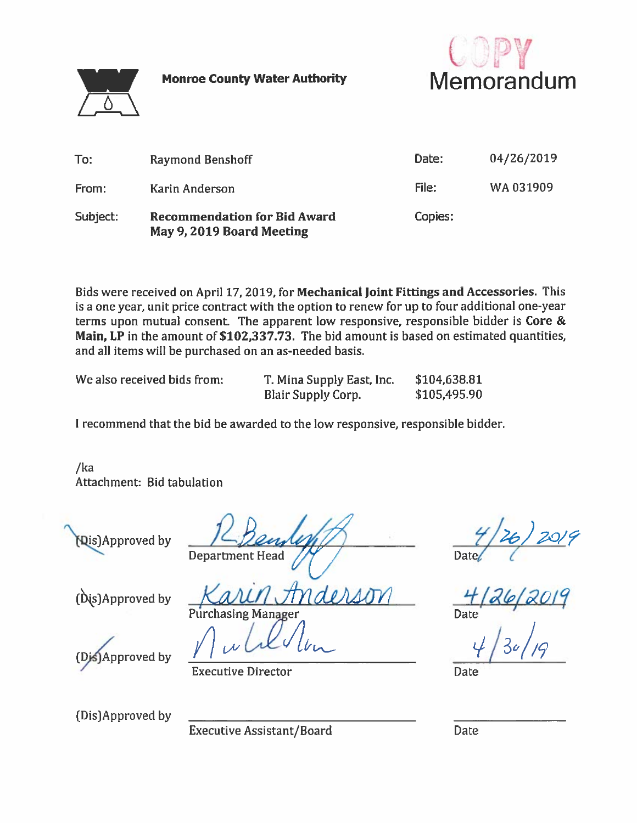**Monroe County Water Authority** 



Memorandum

| To:      | <b>Raymond Benshoff</b>                                          | Date:   | 04/26/2019 |
|----------|------------------------------------------------------------------|---------|------------|
| From:    | Karin Anderson                                                   | File:   | WA 031909  |
| Subject: | <b>Recommendation for Bid Award</b><br>May 9, 2019 Board Meeting | Copies: |            |

Bids were received on April 17, 2019, for Mechanical Joint Fittings and Accessories. This is a one year, unit price contract with the option to renew for up to four additional one-year terms upon mutual consent. The apparent low responsive, responsible bidder is Core  $\&$ Main, LP in the amount of \$102,337.73. The bid amount is based on estimated quantities, and all items will be purchased on an as-needed basis.

We also received bids from:

T. Mina Supply East, Inc. **Blair Supply Corp.** 

design

\$104,638.81 \$105,495.90

I recommend that the bid be awarded to the low responsive, responsible bidder.

 $/ka$ Attachment: Bid tabulation

Dis)Approved by

**Department Head** 

4 | 26 | 2019<br>|-<br>| 4 | 26 | 2019 Date/

**Date** 

(Dis)Approved by

**Approved by** 

**Executive Director** 

**Purchasing Manager** 

(Dis)Approved by

**Executive Assistant/Board** 

**Date**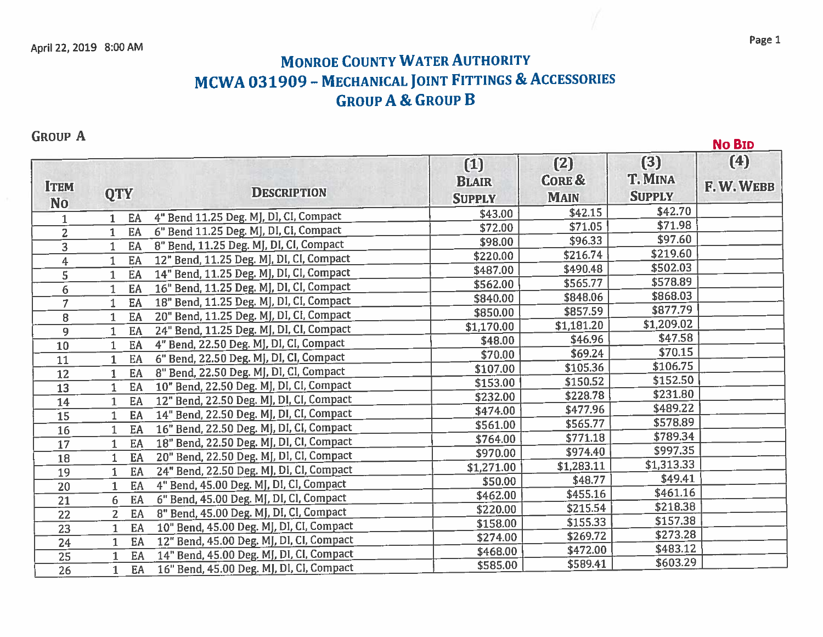## **MONROE COUNTY WATER AUTHORITY** MCWA 031909 - MECHANICAL JOINT FITTINGS & ACCESSORIES **GROUP A & GROUP B**

**GROUP A** 

**No BID**  $(4)$  $(3)$  $(2)$  $(1)$ T. MINA **CORE & BLAIR ITEM** F.W.WEBB **QTY DESCRIPTION SUPPLY SUPPLY MAIN No**  $$42.15$ \$42.70 \$43.00 4" Bend 11.25 Deg. MJ, DI, CI, Compact EA  $\mathbf{1}$  $1$  $$71.98$  $\overline{$}71.05$ \$72.00 6" Bend 11.25 Deg. MJ, DI, CI, Compact  $1$  EA  $\overline{2}$ \$97.60 \$96.33 \$98.00 8" Bend, 11.25 Deg. MJ, DI, CI, Compact  $\overline{3}$  $1$  EA  $$219.60$  $\overline{$}216.74$  $$220.00$ 12" Bend, 11.25 Deg. MJ, DI, CI, Compact EA  $\overline{4}$  $1$ \$502.03 \$490.48 \$487.00 14" Bend, 11.25 Deg. MJ, DI, CI, Compact  $\overline{\mathsf{s}}$  $1$ EA  $5578.89$ \$565.77 \$562.00 16" Bend, 11.25 Deg. MJ, DI, CI, Compact  $\overline{6}$  $1<sup>1</sup>$ EA \$868.03 \$848.06 \$840.00 18" Bend, 11.25 Deg. MJ, DI, CI, Compact  $\overline{\tau}$ EA  $1$  $3877.79$ \$857.59 \$850.00 20" Bend, 11.25 Deg. MJ, DI, CI, Compact  $\overline{8}$  $1$ EA \$1,209.02 \$1,181.20 \$1,170.00 24" Bend, 11.25 Deg. MJ, DI, CI, Compact  $\overline{1}$  $\overline{9}$ EA \$47.58  $346.96$ \$48.00 4" Bend, 22.50 Deg. MJ, DI, CI, Compact  $\overline{10}$ EA  $1$ \$70.15 \$69.24 \$70.00 6" Bend, 22.50 Deg. MJ, DI, CI, Compact  $\overline{11}$  $\mathbf{1}$ EA  $$106.75$  $$105.36$ \$107.00 8" Bend, 22.50 Deg. MJ, DI, CI, Compact  $\overline{12}$  $\mathbf{1}$ EA \$152.50  $$150.52$  $$153.00$  $\overline{13}$ 10" Bend, 22.50 Deg. MJ, DI, CI, Compact  $1$ EA \$228.78 \$231.80 \$232.00 12" Bend, 22.50 Deg. MJ, DI, CI, Compact 14 EA  $1$ \$489.22 \$474.00 \$477.96  $\overline{15}$  $14$ " Bend, 22.50 Deg. MJ, DI, CI, Compact  $1$ EA  $5578.89$ \$565.77 \$561.00 16" Bend, 22.50 Deg. MJ, DI, CI, Compact  $\overline{16}$  $\mathbf{1}$ EA \$789.34 \$771.18 \$764.00 18" Bend, 22.50 Deg. MJ, DI, CI, Compact  $\overline{17}$ EA  $\mathbf{1}$  $$997.35$ \$974.40 \$970.00  $\overline{18}$ EA 20" Bend, 22.50 Deg. MJ, DI, CI, Compact  $\mathbf{1}$  $$1,283.11$ \$1,313.33  $$1,271.00$ 24" Bend, 22.50 Deg. MJ, DI, CI, Compact  $\overline{19}$  $\mathbf{1}$ EA  $$48.77$ \$49.41 \$50.00 4" Bend, 45.00 Deg. MJ, DI, CI, Compact EA 20  $\mathbf{1}$ \$461.16 \$455.16 \$462.00 6" Bend, 45.00 Deg. MJ, DI, CI, Compact  $\overline{21}$ 6 EA \$218.38  $$215.54$ \$220.00 8" Bend, 45.00 Deg. MJ, DI, CI, Compact EA 22  $2<sup>1</sup>$ \$157.38 \$155.33 \$158.00  $\overline{23}$ EA 10" Bend, 45.00 Deg. MJ, DI, CI, Compact  $\mathbf{1}$  $$273.28$ \$269.72 \$274.00 12" Bend, 45.00 Deg. MJ, DI, CI, Compact  $\overline{24}$  $1$ EA \$483.12 \$472.00  $\overline{$468.00}$ 14" Bend, 45.00 Deg. MJ, DI, CI, Compact  $\overline{25}$ EA  $\mathbf{1}$ \$603.29 \$589.41 \$585.00 16" Bend, 45.00 Deg. MJ, DI, CI, Compact EA 26  $\mathbf{1}$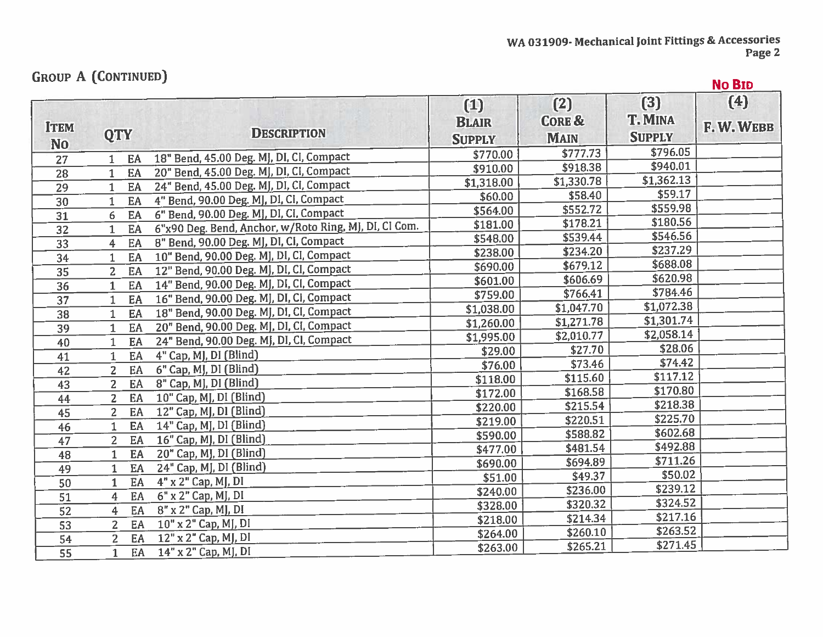## **GROUP A (CONTINUED)**

|                          | GROUP A LOONTINUEDJ  |                                                       |                                        |                                         |                                 | <b>No BID</b>   |
|--------------------------|----------------------|-------------------------------------------------------|----------------------------------------|-----------------------------------------|---------------------------------|-----------------|
| <b>ITEM</b><br><b>No</b> | <b>QTY</b>           | <b>DESCRIPTION</b>                                    | $(1)$<br><b>BLAIR</b><br><b>SUPPLY</b> | (2)<br><b>CORE &amp;</b><br><b>MAIN</b> | (3)<br>T. MINA<br><b>SUPPLY</b> | (4)<br>F.W.WEBB |
| 27                       | EA                   | 18" Bend, 45.00 Deg. MJ, DI, CI, Compact              | \$770.00                               | \$777.73                                | \$796.05                        |                 |
| $\overline{28}$          | EA<br>1              | 20" Bend, 45.00 Deg. MJ, DI, CI, Compact              | \$910.00                               | \$918.38                                | \$940.01                        |                 |
| $\overline{29}$          | EA<br>1              | 24" Bend, 45.00 Deg. MJ, DI, CI, Compact              | \$1,318.00                             | \$1,330.78                              | \$1,362.13                      |                 |
| 30                       | EA                   | 4" Bend, 90.00 Deg. MJ, DI, CI, Compact               | \$60.00                                | \$58.40                                 | \$59.17                         |                 |
| 31                       | EA<br>6              | 6" Bend, 90.00 Deg. MJ, DI, CI, Compact               | \$564.00                               | \$552.72                                | \$559.98                        |                 |
| 32                       | EA<br>1.             | 6"x90 Deg. Bend, Anchor, w/Roto Ring, MJ, DI, CI Com. | \$181.00                               | \$178.21                                | \$180.56                        |                 |
| $\overline{3}3$          | EA<br>4              | 8" Bend, 90.00 Deg. MJ, DI, CI, Compact               | \$548.00                               | \$539.44                                | \$546.56                        |                 |
| 34                       | EA                   | 10" Bend, 90.00 Deg. MJ, DI, CI, Compact              | \$238.00                               | \$234.20                                | \$237.29                        |                 |
| 35                       | EA<br>$\overline{2}$ | 12" Bend, 90.00 Deg. MJ, DI, CI, Compact              | \$690.00                               | \$679.12                                | \$688.08                        |                 |
| 36                       | EA<br>$\mathbf{1}$   | 14" Bend, 90.00 Deg. MJ, DI, CI, Compact              | \$601.00                               | \$606.69                                | \$620.98                        |                 |
| 37                       | EA<br>$\mathbf{1}$   | 16" Bend, 90.00 Deg. MJ, DI, CI, Compact              | \$759.00                               | \$766.41                                | \$784.46                        |                 |
| $\overline{38}$          | EA<br>$\mathbf{1}$   | 18" Bend, 90.00 Deg. MJ, DI, CI, Compact              | \$1,038.00                             | \$1,047.70                              | \$1,072.38                      |                 |
| 39                       | EA                   | 20" Bend, 90.00 Deg. MJ, DI, CI, Compact              | \$1,260.00                             | \$1,271.78                              | \$1,301.74                      |                 |
| 40                       | EA                   | 24" Bend, 90.00 Deg. MJ, DI, CI, Compact              | \$1,995.00                             | \$2,010.77                              | \$2,058.14                      |                 |
| 41                       | EA                   | 4" Cap, MJ, DI (Blind)                                | \$29.00                                | \$27.70                                 | \$28.06                         |                 |
| 42                       | EA<br>$\overline{2}$ | 6" Cap, MJ, DI (Blind)                                | \$76.00                                | \$73.46                                 | \$74.42                         |                 |
| 43                       | 2 <sup>1</sup><br>EA | 8" Cap, MJ, DI (Blind)                                | \$118.00                               | \$115.60                                | \$117.12                        |                 |
| 44                       | $\overline{2}$<br>EA | 10" Cap, MJ, DI (Blind)                               | \$172.00                               | \$168.58                                | \$170.80                        |                 |
| 45                       | $\overline{2}$<br>EA | 12" Cap, MJ, DI (Blind)                               | \$220.00                               | \$215.54                                | \$218.38                        |                 |
| 46                       | EA<br>$\mathbf{1}$   | 14" Cap, MJ, DI (Blind)                               | \$219.00                               | \$220.51                                | \$225.70                        |                 |
| 47                       | $\overline{2}$<br>EA | 16" Cap, MJ, DI (Blind)                               | \$590.00                               | \$588.82                                | \$602.68                        |                 |
| 48                       | EA<br>$\mathbf{1}$   | 20" Cap, MJ, DI (Blind)                               | \$477.00                               | \$481.54                                | \$492.88                        |                 |
| 49                       | EA<br>$\mathbf{1}$   | 24" Cap, MJ, DI (Blind)                               | \$690.00                               | \$694.89                                | \$711.26                        |                 |
| 50                       | EA<br>1              | 4" x 2" Cap, MJ, DI                                   | \$51.00                                | \$49.37                                 | \$50.02                         |                 |
| 51                       | EA<br>4              | 6" x 2" Cap, MJ, DI                                   | \$240.00                               | \$236.00                                | \$239.12                        |                 |
| 52                       | EA<br>4              | 8" x 2" Cap, MJ, DI                                   | \$328.00                               | \$320.32                                | \$324.52                        |                 |
| $\overline{53}$          | $\overline{2}$<br>EA | 10" x 2" Cap, MJ, DI                                  | \$218.00                               | \$214.34                                | \$217.16                        |                 |
| 54                       | $\overline{2}$<br>EA | 12" x 2" Cap, MJ, DI                                  | \$264.00                               | \$260.10                                | \$263.52                        |                 |
| $\overline{55}$          | EA<br>$\mathbf{1}$   | 14" x 2" Cap, MJ, DI                                  | \$263.00                               | \$265.21                                | \$271.45                        |                 |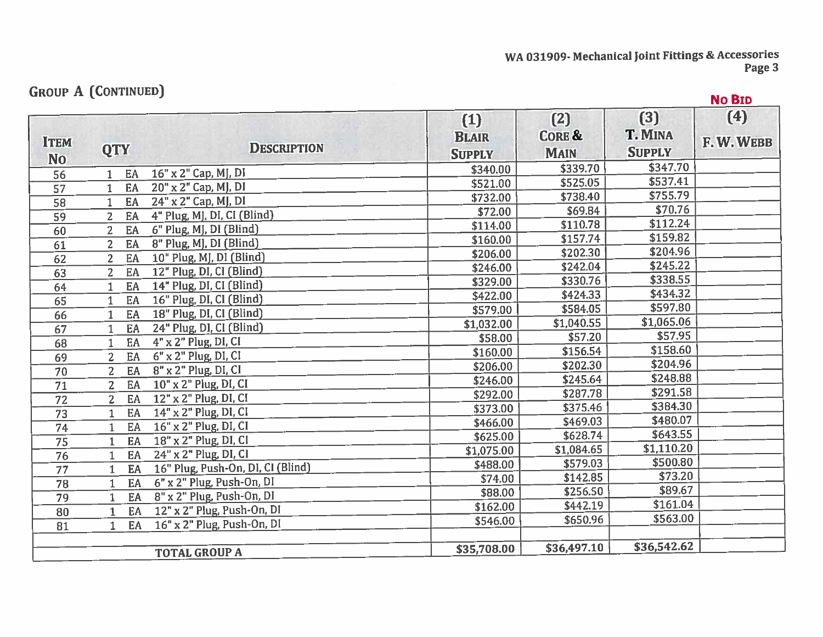WA 031909- Mechanical Joint Fittings & Accessories<br>Page 3

## **GROUP A (CONTINUED)**

| GROUP A LCONTINUED]           |                |    |                                   |                                      |                                         |                                 | <b>No BID</b>   |
|-------------------------------|----------------|----|-----------------------------------|--------------------------------------|-----------------------------------------|---------------------------------|-----------------|
| <b>ITEM</b><br>N <sub>o</sub> | <b>QTY</b>     |    | <b>DESCRIPTION</b>                | (1)<br><b>BLAIR</b><br><b>SUPPLY</b> | (2)<br><b>CORE &amp;</b><br><b>MAIN</b> | (3)<br>T. MINA<br><b>SUPPLY</b> | (4)<br>F.W.WEBB |
| 56                            |                | EA | 16" x 2" Cap, MJ, DI              | \$340.00                             | \$339.70                                | \$347.70                        |                 |
| 57                            | $\mathbf{1}$   | EA | 20" x 2" Cap, MJ, DI              | \$521.00                             | \$525.05                                | \$537.41                        |                 |
| 58                            |                | EA | 24" x 2" Cap, MJ, DI              | \$732.00                             | \$738.40                                | \$755.79                        |                 |
| 59                            | $\overline{2}$ | EA | 4" Plug, MJ, DI, CI (Blind)       | \$72.00                              | \$69.84                                 | \$70.76                         |                 |
| 60                            | $\overline{2}$ | EA | 6" Plug, MJ, DI (Blind)           | \$114.00                             | \$110.78                                | \$112.24                        |                 |
| 61                            | $\overline{2}$ | EA | 8" Plug, MJ, DI (Blind)           | \$160.00                             | \$157.74                                | \$159.82                        |                 |
| 62                            | $\overline{2}$ | EA | 10" Plug, MJ, DI (Blind)          | \$206.00                             | \$202.30                                | \$204.96                        |                 |
| 63                            | $\overline{2}$ | EA | 12" Plug, DI, CI (Blind)          | \$246.00                             | \$242.04                                | \$245.22                        |                 |
| 64                            |                | EA | 14" Plug, DI, CI (Blind)          | \$329.00                             | \$330.76                                | \$338.55                        |                 |
| 65                            | 1              | EA | 16" Plug, DI, CI (Blind)          | \$422.00                             | \$424.33                                | \$434.32                        |                 |
| 66                            | $\mathbf{1}$   | EA | 18" Plug, DI, CI (Blind)          | \$579.00                             | \$584.05                                | \$597.80                        |                 |
| 67                            |                | EA | 24" Plug, DI, CI (Blind)          | \$1,032.00                           | \$1,040.55                              | \$1,065.06                      |                 |
| 68                            | 1              | EA | $4"$ x 2" Plug, DI, CI            | \$58.00                              | \$57.20                                 | \$57.95                         |                 |
| 69                            | $\overline{2}$ | EA | $6"$ x 2" Plug, DI, CI            | \$160.00                             | \$156.54                                | \$158.60                        |                 |
| $\overline{70}$               | $\overline{2}$ | EA | 8" x 2" Plug, DI, CI              | \$206.00                             | \$202.30                                | \$204.96                        |                 |
| 71                            | $\overline{2}$ | EA | 10" x 2" Plug, DI, CI             | \$246.00                             | \$245.64                                | \$248.88                        |                 |
| 72                            | $\overline{2}$ | EA | 12" x 2" Plug, DI, CI             | \$292.00                             | \$287.78                                | \$291.58                        |                 |
| 73                            |                | EA | 14" x 2" Plug, DI, CI             | \$373.00                             | \$375.46                                | \$384.30                        |                 |
| 74                            |                | EA | 16" x 2" Plug, DI, CI             | \$466.00                             | \$469.03                                | \$480.07                        |                 |
| 75                            |                | EA | 18" x 2" Plug, DI, CI             | \$625.00                             | \$628.74                                | \$643.55                        |                 |
| $\overline{76}$               | $\mathbf{1}$   | EA | 24" x 2" Plug, DI, CI             | \$1,075.00                           | \$1,084.65                              | \$1,110.20                      |                 |
| $\overline{77}$               | 1              | EA | 16" Plug, Push-On, DI, CI (Blind) | \$488.00                             | \$579.03                                | \$500.80                        |                 |
| 78                            |                | EA | 6" x 2" Plug, Push-On, DI         | \$74.00                              | \$142.85                                | \$73.20                         |                 |
| 79                            | 1              | EA | 8" x 2" Plug, Push-On, DI         | \$88.00                              | \$256.50                                | \$89.67                         |                 |
| 80                            |                | EA | 12" x 2" Plug, Push-On, DI        | \$162.00                             | \$442.19                                | \$161.04                        |                 |
| 81                            | 1.             | EA | $16"$ x 2" Plug, Push-On, DI      | \$546.00                             | \$650.96                                | \$563.00                        |                 |
|                               |                |    |                                   |                                      |                                         |                                 |                 |
|                               |                |    | <b>TOTAL GROUP A</b>              | \$35,708.00                          | \$36,497.10                             | \$36,542.62                     |                 |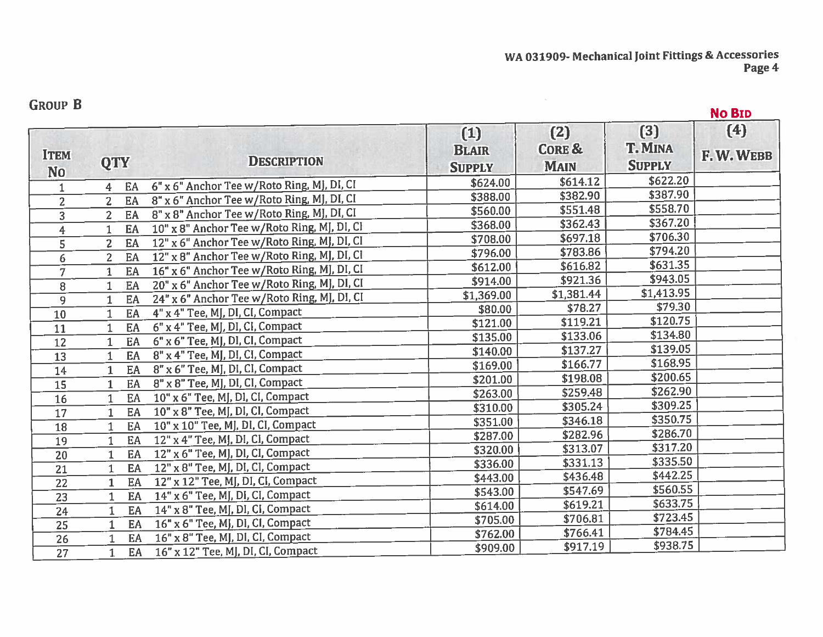## **GROUP B**

No BID

|                 |                      |                                             | (1)           | (2)         | (3)           | (4)      |
|-----------------|----------------------|---------------------------------------------|---------------|-------------|---------------|----------|
| <b>ITEM</b>     |                      |                                             | <b>BLAIR</b>  | CORE &      | T. MINA       | F.W.WEBB |
| N <sub>o</sub>  | <b>QTY</b>           | <b>DESCRIPTION</b>                          | <b>SUPPLY</b> | <b>MAIN</b> | <b>SUPPLY</b> |          |
| 1               | EA<br>$\overline{4}$ | 6" x 6" Anchor Tee w/Roto Ring, MJ, DI, CI  | \$624.00      | \$614.12    | \$622.20      |          |
| $\overline{2}$  | $\overline{2}$<br>EA | 8" x 6" Anchor Tee w/Roto Ring, MJ, DI, CI  | \$388.00      | \$382.90    | \$387.90      |          |
| 3               | $\overline{2}$<br>EA | 8" x 8" Anchor Tee w/Roto Ring, MJ, DI, CI  | \$560.00      | \$551.48    | \$558.70      |          |
| 4               | EA<br>$\mathbf{1}$   | 10" x 8" Anchor Tee w/Roto Ring, MJ, DI, CI | \$368.00      | \$362.43    | \$367.20      |          |
| 5               | $\overline{2}$<br>EA | 12" x 6" Anchor Tee w/Roto Ring, MJ, DI, CI | \$708.00      | \$697.18    | \$706.30      |          |
| 6               | EA<br>$\overline{2}$ | 12" x 8" Anchor Tee w/Roto Ring, MJ, DI, CI | \$796.00      | \$783.86    | \$794.20      |          |
| 7               | EA<br>1              | 16" x 6" Anchor Tee w/Roto Ring, MJ, DI, CI | \$612.00      | \$616.82    | \$631.35      |          |
| 8               | EA<br>$\mathbf{1}$   | 20" x 6" Anchor Tee w/Roto Ring, MJ, DI, CI | \$914.00      | \$921.36    | \$943.05      |          |
| 9               | EA<br>$\mathbf{1}$   | 24" x 6" Anchor Tee w/Roto Ring, MJ, DI, CI | \$1,369.00    | \$1,381.44  | \$1,413.95    |          |
| 10              | EA<br>$\mathbf{1}$   | 4" x 4" Tee, MJ, DI, CI, Compact            | \$80.00       | \$78.27     | \$79.30       |          |
| 11              | EA<br>1              | 6" x 4" Tee, MJ, DI, CI, Compact            | \$121.00      | \$119.21    | \$120.75      |          |
| 12              | EA<br>$\mathbf{1}$   | 6" x 6" Tee, MJ, DI, CI, Compact            | \$135.00      | \$133.06    | \$134.80      |          |
| 13              | EA<br>1              | 8" x 4" Tee, MJ, DI, CI, Compact            | \$140.00      | \$137.27    | \$139.05      |          |
| 14              | EA<br>$\mathbf{1}$   | 8" x 6" Tee, MJ, DI, CI, Compact            | \$169.00      | \$166.77    | \$168.95      |          |
| 15              | EA<br>$\mathbf{1}$   | 8" x 8" Tee, MJ, DI, CI, Compact            | \$201.00      | \$198.08    | \$200.65      |          |
| 16              | EA<br>1              | 10" x 6" Tee, MJ, DI, CI, Compact           | \$263.00      | \$259.48    | \$262.90      |          |
| 17              | EA<br>1              | 10" x 8" Tee, MJ, DI, CI, Compact           | \$310.00      | \$305.24    | \$309.25      |          |
| 18              | EA<br>1              | 10" x 10" Tee, MJ, DI, CI, Compact          | \$351.00      | \$346.18    | \$350.75      |          |
| 19              | EA<br>$\mathbf{1}$   | 12" x 4" Tee, MJ, DI, CI, Compact           | \$287.00      | \$282.96    | \$286.70      |          |
| 20              | EA<br>$\mathbf{1}$   | 12" x 6" Tee, MJ, DI, CI, Compact           | \$320.00      | \$313.07    | \$317.20      |          |
| 21              | EA<br>1              | 12" x 8" Tee, MJ, DI, CI, Compact           | \$336.00      | \$331.13    | \$335.50      |          |
| 22              | EA<br>1              | 12" x 12" Tee, MJ, DI, CI, Compact          | \$443.00      | \$436.48    | \$442.25      |          |
| 23              | EA<br>$\mathbf{1}$   | 14" x 6" Tee, MJ, DI, CI, Compact           | \$543.00      | \$547.69    | \$560.55      |          |
| 24              | EA<br>1              | 14" x 8" Tee, MJ, DI, CI, Compact           | \$614.00      | \$619.21    | \$633.75      |          |
| $\overline{25}$ | EA<br>$\mathbf{1}$   | 16" x 6" Tee, MJ, DI, CI, Compact           | \$705.00      | \$706.81    | \$723.45      |          |
| 26              | EA<br>1              | 16" x 8" Tee, MJ, DI, CI, Compact           | \$762.00      | \$766.41    | \$784.45      |          |
| $\overline{27}$ | EA<br>$\mathbf{1}$   | 16" x 12" Tee, MJ, DI, CI, Compact          | \$909.00      | \$917.19    | \$938.75      |          |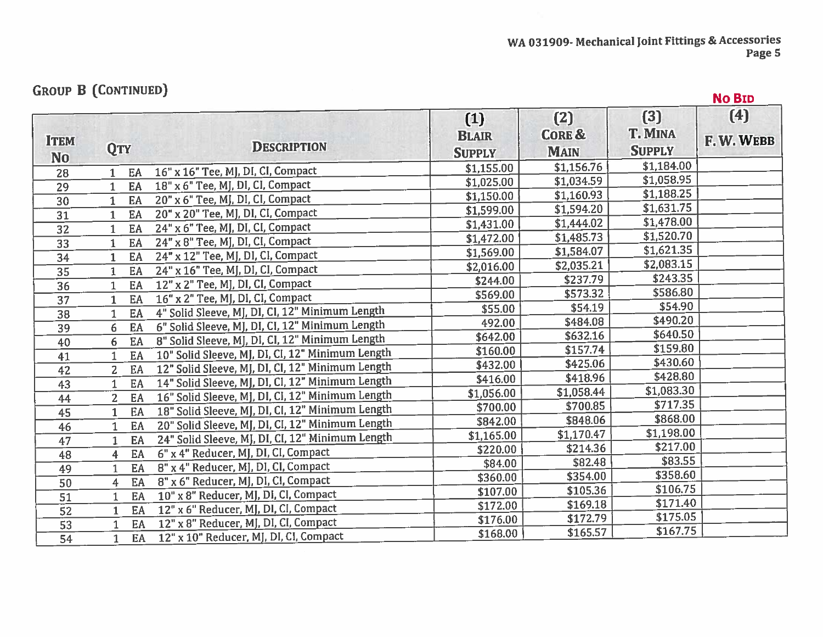# **GROUP B (CONTINUED)**

|                    |                                                                                                                                                                                                                                                                                                                                                                                                                                     |                                                                                                                                                                                                                                                                                                                                                                                                                                                                                                                                                                                                                                                                                                                                                                                                                                                                                                                                                                                                                                                                                                                                                                                                          |                                         |                                                                    | <b>No BID</b>                                                                                                                                                                                                                                                   |
|--------------------|-------------------------------------------------------------------------------------------------------------------------------------------------------------------------------------------------------------------------------------------------------------------------------------------------------------------------------------------------------------------------------------------------------------------------------------|----------------------------------------------------------------------------------------------------------------------------------------------------------------------------------------------------------------------------------------------------------------------------------------------------------------------------------------------------------------------------------------------------------------------------------------------------------------------------------------------------------------------------------------------------------------------------------------------------------------------------------------------------------------------------------------------------------------------------------------------------------------------------------------------------------------------------------------------------------------------------------------------------------------------------------------------------------------------------------------------------------------------------------------------------------------------------------------------------------------------------------------------------------------------------------------------------------|-----------------------------------------|--------------------------------------------------------------------|-----------------------------------------------------------------------------------------------------------------------------------------------------------------------------------------------------------------------------------------------------------------|
| <b>QTY</b>         | <b>DESCRIPTION</b>                                                                                                                                                                                                                                                                                                                                                                                                                  | $(1)$<br><b>BLAIR</b><br><b>SUPPLY</b>                                                                                                                                                                                                                                                                                                                                                                                                                                                                                                                                                                                                                                                                                                                                                                                                                                                                                                                                                                                                                                                                                                                                                                   | (2)<br><b>CORE &amp;</b><br><b>MAIN</b> | (3)<br><b>T. MINA</b><br><b>SUPPLY</b>                             | (4)<br>F.W.WEBB                                                                                                                                                                                                                                                 |
|                    |                                                                                                                                                                                                                                                                                                                                                                                                                                     | \$1,155.00                                                                                                                                                                                                                                                                                                                                                                                                                                                                                                                                                                                                                                                                                                                                                                                                                                                                                                                                                                                                                                                                                                                                                                                               |                                         |                                                                    |                                                                                                                                                                                                                                                                 |
|                    |                                                                                                                                                                                                                                                                                                                                                                                                                                     | \$1,025.00                                                                                                                                                                                                                                                                                                                                                                                                                                                                                                                                                                                                                                                                                                                                                                                                                                                                                                                                                                                                                                                                                                                                                                                               |                                         |                                                                    |                                                                                                                                                                                                                                                                 |
|                    |                                                                                                                                                                                                                                                                                                                                                                                                                                     | \$1,150.00                                                                                                                                                                                                                                                                                                                                                                                                                                                                                                                                                                                                                                                                                                                                                                                                                                                                                                                                                                                                                                                                                                                                                                                               |                                         |                                                                    |                                                                                                                                                                                                                                                                 |
|                    |                                                                                                                                                                                                                                                                                                                                                                                                                                     | \$1,599.00                                                                                                                                                                                                                                                                                                                                                                                                                                                                                                                                                                                                                                                                                                                                                                                                                                                                                                                                                                                                                                                                                                                                                                                               |                                         |                                                                    |                                                                                                                                                                                                                                                                 |
|                    |                                                                                                                                                                                                                                                                                                                                                                                                                                     | \$1,431.00                                                                                                                                                                                                                                                                                                                                                                                                                                                                                                                                                                                                                                                                                                                                                                                                                                                                                                                                                                                                                                                                                                                                                                                               |                                         |                                                                    |                                                                                                                                                                                                                                                                 |
|                    |                                                                                                                                                                                                                                                                                                                                                                                                                                     | \$1,472.00                                                                                                                                                                                                                                                                                                                                                                                                                                                                                                                                                                                                                                                                                                                                                                                                                                                                                                                                                                                                                                                                                                                                                                                               | \$1,485.73                              |                                                                    |                                                                                                                                                                                                                                                                 |
|                    |                                                                                                                                                                                                                                                                                                                                                                                                                                     | \$1,569.00                                                                                                                                                                                                                                                                                                                                                                                                                                                                                                                                                                                                                                                                                                                                                                                                                                                                                                                                                                                                                                                                                                                                                                                               | \$1,584.07                              |                                                                    |                                                                                                                                                                                                                                                                 |
|                    |                                                                                                                                                                                                                                                                                                                                                                                                                                     | \$2,016.00                                                                                                                                                                                                                                                                                                                                                                                                                                                                                                                                                                                                                                                                                                                                                                                                                                                                                                                                                                                                                                                                                                                                                                                               | \$2,035.21                              |                                                                    |                                                                                                                                                                                                                                                                 |
|                    |                                                                                                                                                                                                                                                                                                                                                                                                                                     | \$244.00                                                                                                                                                                                                                                                                                                                                                                                                                                                                                                                                                                                                                                                                                                                                                                                                                                                                                                                                                                                                                                                                                                                                                                                                 | \$237.79                                |                                                                    |                                                                                                                                                                                                                                                                 |
|                    |                                                                                                                                                                                                                                                                                                                                                                                                                                     | \$569.00                                                                                                                                                                                                                                                                                                                                                                                                                                                                                                                                                                                                                                                                                                                                                                                                                                                                                                                                                                                                                                                                                                                                                                                                 | \$573.32                                |                                                                    |                                                                                                                                                                                                                                                                 |
|                    |                                                                                                                                                                                                                                                                                                                                                                                                                                     | \$55.00                                                                                                                                                                                                                                                                                                                                                                                                                                                                                                                                                                                                                                                                                                                                                                                                                                                                                                                                                                                                                                                                                                                                                                                                  | \$54.19                                 |                                                                    |                                                                                                                                                                                                                                                                 |
|                    |                                                                                                                                                                                                                                                                                                                                                                                                                                     | 492.00                                                                                                                                                                                                                                                                                                                                                                                                                                                                                                                                                                                                                                                                                                                                                                                                                                                                                                                                                                                                                                                                                                                                                                                                   | \$484.08                                |                                                                    |                                                                                                                                                                                                                                                                 |
|                    |                                                                                                                                                                                                                                                                                                                                                                                                                                     | \$642.00                                                                                                                                                                                                                                                                                                                                                                                                                                                                                                                                                                                                                                                                                                                                                                                                                                                                                                                                                                                                                                                                                                                                                                                                 | \$632.16                                |                                                                    |                                                                                                                                                                                                                                                                 |
|                    |                                                                                                                                                                                                                                                                                                                                                                                                                                     | \$160.00                                                                                                                                                                                                                                                                                                                                                                                                                                                                                                                                                                                                                                                                                                                                                                                                                                                                                                                                                                                                                                                                                                                                                                                                 | \$157.74                                |                                                                    |                                                                                                                                                                                                                                                                 |
|                    |                                                                                                                                                                                                                                                                                                                                                                                                                                     | \$432.00                                                                                                                                                                                                                                                                                                                                                                                                                                                                                                                                                                                                                                                                                                                                                                                                                                                                                                                                                                                                                                                                                                                                                                                                 | \$425.06                                |                                                                    |                                                                                                                                                                                                                                                                 |
|                    |                                                                                                                                                                                                                                                                                                                                                                                                                                     | \$416.00                                                                                                                                                                                                                                                                                                                                                                                                                                                                                                                                                                                                                                                                                                                                                                                                                                                                                                                                                                                                                                                                                                                                                                                                 | \$418.96                                |                                                                    |                                                                                                                                                                                                                                                                 |
|                    |                                                                                                                                                                                                                                                                                                                                                                                                                                     | \$1,056.00                                                                                                                                                                                                                                                                                                                                                                                                                                                                                                                                                                                                                                                                                                                                                                                                                                                                                                                                                                                                                                                                                                                                                                                               | \$1,058.44                              |                                                                    |                                                                                                                                                                                                                                                                 |
|                    |                                                                                                                                                                                                                                                                                                                                                                                                                                     | \$700.00                                                                                                                                                                                                                                                                                                                                                                                                                                                                                                                                                                                                                                                                                                                                                                                                                                                                                                                                                                                                                                                                                                                                                                                                 | \$700.85                                |                                                                    |                                                                                                                                                                                                                                                                 |
|                    |                                                                                                                                                                                                                                                                                                                                                                                                                                     | \$842.00                                                                                                                                                                                                                                                                                                                                                                                                                                                                                                                                                                                                                                                                                                                                                                                                                                                                                                                                                                                                                                                                                                                                                                                                 | \$848.06                                | \$868.00                                                           |                                                                                                                                                                                                                                                                 |
|                    |                                                                                                                                                                                                                                                                                                                                                                                                                                     |                                                                                                                                                                                                                                                                                                                                                                                                                                                                                                                                                                                                                                                                                                                                                                                                                                                                                                                                                                                                                                                                                                                                                                                                          | \$1,170.47                              |                                                                    |                                                                                                                                                                                                                                                                 |
|                    |                                                                                                                                                                                                                                                                                                                                                                                                                                     | \$220.00                                                                                                                                                                                                                                                                                                                                                                                                                                                                                                                                                                                                                                                                                                                                                                                                                                                                                                                                                                                                                                                                                                                                                                                                 | \$214.36                                | \$217.00                                                           |                                                                                                                                                                                                                                                                 |
|                    |                                                                                                                                                                                                                                                                                                                                                                                                                                     | \$84.00                                                                                                                                                                                                                                                                                                                                                                                                                                                                                                                                                                                                                                                                                                                                                                                                                                                                                                                                                                                                                                                                                                                                                                                                  | \$82.48                                 | \$83.55                                                            |                                                                                                                                                                                                                                                                 |
|                    |                                                                                                                                                                                                                                                                                                                                                                                                                                     | \$360.00                                                                                                                                                                                                                                                                                                                                                                                                                                                                                                                                                                                                                                                                                                                                                                                                                                                                                                                                                                                                                                                                                                                                                                                                 | \$354.00                                |                                                                    |                                                                                                                                                                                                                                                                 |
|                    |                                                                                                                                                                                                                                                                                                                                                                                                                                     | \$107.00                                                                                                                                                                                                                                                                                                                                                                                                                                                                                                                                                                                                                                                                                                                                                                                                                                                                                                                                                                                                                                                                                                                                                                                                 | \$105.36                                | \$106.75                                                           |                                                                                                                                                                                                                                                                 |
|                    |                                                                                                                                                                                                                                                                                                                                                                                                                                     | \$172.00                                                                                                                                                                                                                                                                                                                                                                                                                                                                                                                                                                                                                                                                                                                                                                                                                                                                                                                                                                                                                                                                                                                                                                                                 | \$169.18                                | \$171.40                                                           |                                                                                                                                                                                                                                                                 |
|                    |                                                                                                                                                                                                                                                                                                                                                                                                                                     | \$176.00                                                                                                                                                                                                                                                                                                                                                                                                                                                                                                                                                                                                                                                                                                                                                                                                                                                                                                                                                                                                                                                                                                                                                                                                 | \$172.79                                | \$175.05                                                           |                                                                                                                                                                                                                                                                 |
| EA<br>$\mathbf{1}$ | 12" x 10" Reducer, MJ, DI, CI, Compact                                                                                                                                                                                                                                                                                                                                                                                              | \$168.00                                                                                                                                                                                                                                                                                                                                                                                                                                                                                                                                                                                                                                                                                                                                                                                                                                                                                                                                                                                                                                                                                                                                                                                                 | \$165.57                                | \$167.75                                                           |                                                                                                                                                                                                                                                                 |
|                    | EA<br>EA<br>EA<br>EA<br>$\mathbf{1}$<br>EA<br>1.<br>EA<br>$\mathbf{1}$<br>EA<br>$\mathbf{1}$<br>EA<br>1<br>EA<br>$\mathbf{1}$<br>EA<br>$\mathbf{1}$<br>EA<br>$\mathbf{1}$<br>EA<br>6<br>EA<br>6<br>EA<br>EA<br>$\mathbf{2}$<br>EA<br>$\mathbf{1}$<br>EA<br>2 <sup>1</sup><br>EA<br>1<br>EA<br>$\mathbf{1}$<br>EA<br>$\mathbf{1}$<br>EA<br>4<br>EA<br>$\mathbf{1}$<br>EA<br>4<br>EA<br>1<br>EA<br>$\mathbf{1}$<br>EA<br>$\mathbf{1}$ | <b>GROUP B (CONTINUED)</b><br>16" x 16" Tee, MJ, DI, CI, Compact<br>18" x 6" Tee, MJ, DI, CI, Compact<br>20" x 6" Tee, MJ, DI, CI, Compact<br>20" x 20" Tee, MJ, DI, CI, Compact<br>24" x 6" Tee, MJ, DI, CI, Compact<br>24" x 8" Tee, MJ, DI, CI, Compact<br>24" x 12" Tee, MJ, DI, CI, Compact<br>24" x 16" Tee, MJ, DI, CI, Compact<br>12" x 2" Tee, MJ, DI, CI, Compact<br>16" x 2" Tee, MJ, DI, CI, Compact<br>4" Solid Sleeve, MJ, DI, CI, 12" Minimum Length<br>6" Solid Sleeve, MJ, DI, CI, 12" Minimum Length<br>8" Solid Sleeve, MJ, DI, CI, 12" Minimum Length<br>10" Solid Sleeve, MJ, DI, CI, 12" Minimum Length<br>12" Solid Sleeve, MJ, DI, CI, 12" Minimum Length<br>14" Solid Sleeve, MJ, DI, CI, 12" Minimum Length<br>16" Solid Sleeve, MJ, DI, CI, 12" Minimum Length<br>18" Solid Sleeve, MJ, DI, CI, 12" Minimum Length<br>20" Solid Sleeve, MJ, DI, CI, 12" Minimum Length<br>24" Solid Sleeve, MJ, DI, CI, 12" Minimum Length<br>6" x 4" Reducer, MJ, DI, CI, Compact<br>8" x 4" Reducer, MJ, DI, CI, Compact<br>8" x 6" Reducer, MJ, DI, CI, Compact<br>10" x 8" Reducer, MJ, DI, CI, Compact<br>12" x 6" Reducer, MJ, DI, CI, Compact<br>12" x 8" Reducer, MJ, DI, CI, Compact | \$1,165.00                              | \$1,156.76<br>\$1,034.59<br>\$1,160.93<br>\$1,594.20<br>\$1,444.02 | \$1,184.00<br>\$1,058.95<br>\$1,188.25<br>\$1,631.75<br>\$1,478.00<br>\$1,520.70<br>\$1,621.35<br>\$2,083.15<br>\$243.35<br>\$586.80<br>\$54.90<br>\$490.20<br>\$640.50<br>\$159.80<br>\$430.60<br>\$428.80<br>\$1,083.30<br>\$717.35<br>\$1,198.00<br>\$358.60 |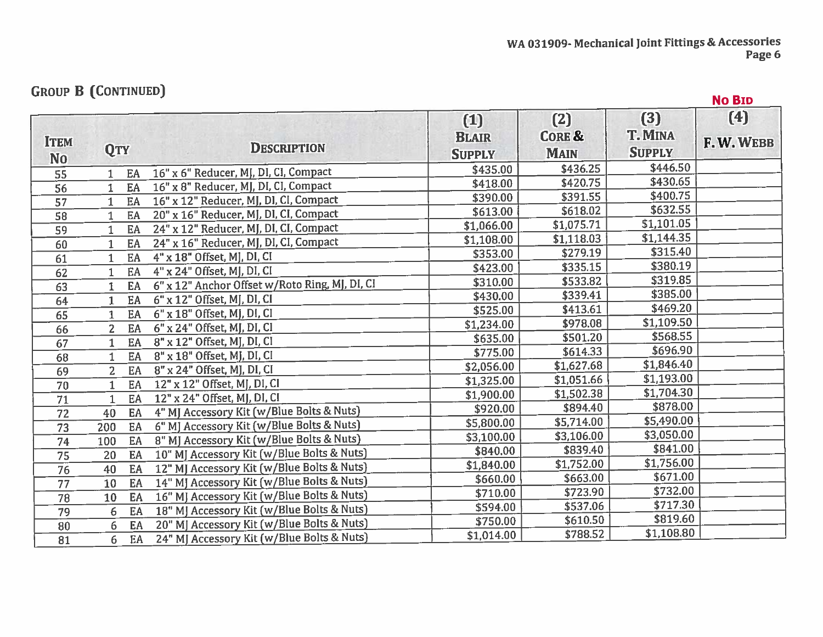## **GROUP B (CONTINUED)**

|                               | <b>AROOL D from TIMORN)</b> |                                                |                                      |                                         |                                        | <b>No BID</b>   |
|-------------------------------|-----------------------------|------------------------------------------------|--------------------------------------|-----------------------------------------|----------------------------------------|-----------------|
| <b>ITEM</b><br>N <sub>0</sub> | <b>QTY</b>                  | <b>DESCRIPTION</b>                             | (1)<br><b>BLAIR</b><br><b>SUPPLY</b> | (2)<br><b>CORE &amp;</b><br><b>MAIN</b> | (3)<br><b>T. MINA</b><br><b>SUPPLY</b> | (4)<br>F.W.WEBB |
| 55                            | EA<br>1.                    | 16" x 6" Reducer, MJ, DI, CI, Compact          | \$435.00                             | \$436.25                                | \$446.50                               |                 |
| 56                            | EA                          | 16" x 8" Reducer, MJ, DI, CI, Compact          | \$418.00                             | \$420.75                                | \$430.65                               |                 |
| 57                            | EA                          | 16" x 12" Reducer, MJ, DJ, CJ, Compact         | \$390.00                             | \$391.55                                | \$400.75                               |                 |
| 58                            | EA<br>1                     | 20" x 16" Reducer, MJ, DI, CI, Compact         | \$613.00                             | \$618.02                                | \$632.55                               |                 |
| 59                            | EA                          | 24" x 12" Reducer, MJ, DI, CI, Compact         | \$1,066.00                           | \$1,075.71                              | \$1,101.05                             |                 |
| 60                            | EA                          | 24" x 16" Reducer, MJ, DI, CI, Compact         | \$1,108.00                           | \$1,118.03                              | \$1,144.35                             |                 |
| 61                            | EA<br>$\mathbf{1}$          | 4" x 18" Offset, MJ, DI, CI                    | \$353.00                             | \$279.19                                | \$315.40                               |                 |
| 62                            | EA                          | 4" x 24" Offset, MJ, DI, CI                    | \$423.00                             | \$335.15                                | \$380.19                               |                 |
| 63                            | EA                          | 6" x 12" Anchor Offset w/Roto Ring, MJ, DI, CI | \$310.00                             | \$533.82                                | \$319.85                               |                 |
| 64                            | EA<br>$\mathbf{1}$          | $6"$ x 12" Offset, MJ, DI, CI                  | \$430.00                             | \$339.41                                | \$385.00                               |                 |
| 65                            | EA                          | 6" x 18" Offset, MJ, DI, CI                    | \$525.00                             | \$413.61                                | \$469.20                               |                 |
| 66                            | EA<br>$\overline{2}$        | 6" x 24" Offset, MJ, DI, CI                    | \$1,234.00                           | \$978.08                                | \$1,109.50                             |                 |
| 67                            | EA<br>$\mathbf 1$           | 8" x 12" Offset, MJ, DI, CI                    | \$635.00                             | \$501.20                                | \$568.55                               |                 |
| 68                            | EA                          | 8" x 18" Offset, MJ, DI, CI                    | \$775.00                             | \$614.33                                | \$696.90                               |                 |
| 69                            | $\overline{2}$<br>EA        | 8" x 24" Offset, MJ, DI, CI                    | \$2,056.00                           | \$1,627.68                              | \$1,846.40                             |                 |
| 70                            | EA<br>$\mathbf{1}$          | 12" x 12" Offset, MJ, DI, CI                   | \$1,325.00                           | \$1,051.66                              | \$1,193.00                             |                 |
| 71                            | EA<br>$\mathbf{1}$          | 12" x 24" Offset, MJ, DI, CI                   | \$1,900.00                           | \$1,502.38                              | \$1,704.30                             |                 |
| 72                            | 40<br>EA                    | 4" MJ Accessory Kit (w/Blue Bolts & Nuts)      | \$920.00                             | \$894.40                                | \$878.00                               |                 |
| $\overline{73}$               | 200<br>EA                   | 6" MJ Accessory Kit (w/Blue Bolts & Nuts)      | \$5,800.00                           | \$5,714.00                              | \$5,490.00                             |                 |
| 74                            | EA<br>100                   | 8" MJ Accessory Kit (w/Blue Bolts & Nuts)      | \$3,100.00                           | \$3,106.00                              | \$3,050.00                             |                 |
| 75                            | EA<br>20                    | 10" MJ Accessory Kit (w/Blue Bolts & Nuts)     | \$840.00                             | \$839.40                                | \$841.00                               |                 |
| 76                            | EA<br>40                    | 12" MJ Accessory Kit (w/Blue Bolts & Nuts)     | \$1,840.00                           | \$1,752.00                              | \$1,756.00                             |                 |
| 77                            | EA<br>10                    | 14" MJ Accessory Kit (w/Blue Bolts & Nuts)     | \$660.00                             | \$663.00                                | \$671.00                               |                 |
| 78                            | EA<br>10                    | 16" MJ Accessory Kit (w/Blue Bolts & Nuts)     | \$710.00                             | \$723.90                                | \$732.00                               |                 |
| 79                            | EA<br>6                     | 18" MJ Accessory Kit (w/Blue Bolts & Nuts)     | \$594.00                             | \$537.06                                | \$717.30                               |                 |
| 80                            | EA<br>6                     | 20" MJ Accessory Kit (w/Blue Bolts & Nuts)     | \$750.00                             | \$610.50                                | \$819.60                               |                 |
| $\overline{81}$               | EA<br>6                     | 24" MJ Accessory Kit (w/Blue Bolts & Nuts)     | \$1,014.00                           | \$788.52                                | \$1,108.80                             |                 |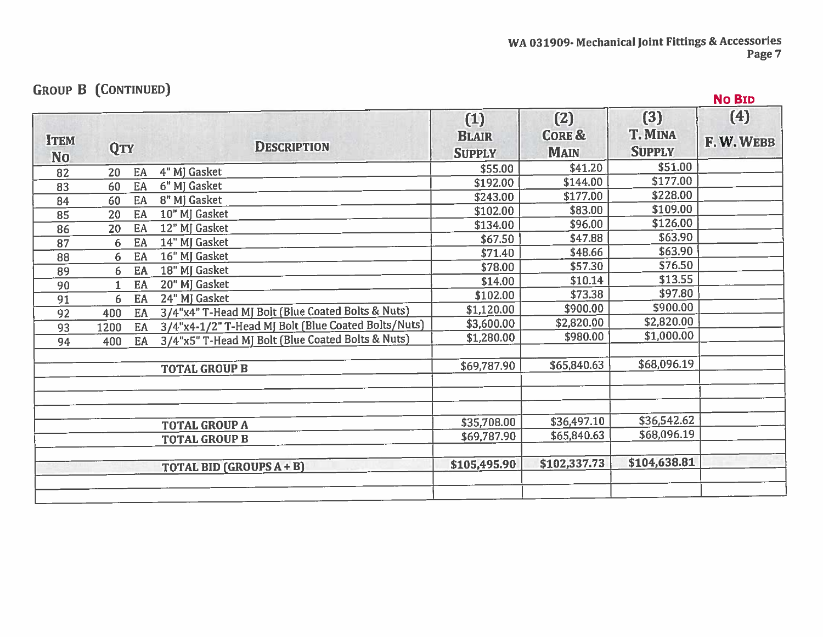| <b>GROOF D TOOMINGED!</b> |    |                                                     |                                      |                                         |                                        | <b>No BID</b>   |
|---------------------------|----|-----------------------------------------------------|--------------------------------------|-----------------------------------------|----------------------------------------|-----------------|
| <b>QTY</b>                |    | <b>DESCRIPTION</b>                                  | (1)<br><b>BLAIR</b><br><b>SUPPLY</b> | (2)<br><b>CORE &amp;</b><br><b>MAIN</b> | (3)<br><b>T. MINA</b><br><b>SUPPLY</b> | (4)<br>F.W.WEBB |
| 20                        | EA | 4" MJ Gasket                                        | \$55.00                              | \$41.20                                 | \$51.00                                |                 |
| 60                        | EA | 6" MJ Gasket                                        | \$192.00                             | \$144.00                                | \$177.00                               |                 |
| 60                        | EA | 8" MJ Gasket                                        | \$243.00                             | \$177.00                                | \$228.00                               |                 |
| 20                        | EA | 10" MJ Gasket                                       | \$102.00                             | \$83.00                                 | \$109.00                               |                 |
| 20                        | EA | 12" MJ Gasket                                       | \$134.00                             | \$96.00                                 | \$126.00                               |                 |
| 6                         | EA | 14" MJ Gasket                                       | \$67.50                              | \$47.88                                 | \$63.90                                |                 |
| 6                         | EA | 16" MJ Gasket                                       | \$71.40                              | \$48.66                                 | \$63.90                                |                 |
| 6                         | EA | 18" MJ Gasket                                       | \$78.00                              | \$57.30                                 | \$76.50                                |                 |
|                           | EA | 20" MJ Gasket                                       | \$14.00                              | \$10.14                                 | \$13.55                                |                 |
| 6                         | EA | 24" MJ Gasket                                       | \$102.00                             | \$73.38                                 | \$97.80                                |                 |
| 400                       | EA | 3/4"x4" T-Head MJ Bolt (Blue Coated Bolts & Nuts)   | \$1,120.00                           | \$900.00                                | \$900.00                               |                 |
| 1200                      | EA | 3/4"x4-1/2" T-Head MJ Bolt (Blue Coated Bolts/Nuts) | \$3,600.00                           | \$2,820.00                              | \$2,820.00                             |                 |
| 400                       | EA | 3/4"x5" T-Head MJ Bolt (Blue Coated Bolts & Nuts)   | \$1,280.00                           | \$980.00                                | \$1,000.00                             |                 |
|                           |    | <b>TOTAL GROUP B</b>                                | \$69,787.90                          | \$65,840.63                             | \$68,096.19                            |                 |
|                           |    | <b>TOTAL GROUP A</b>                                | \$35,708.00                          | \$36,497.10                             | \$36,542.62                            |                 |
|                           |    | <b>TOTAL GROUP B</b>                                | \$69,787.90                          | \$65,840.63                             | \$68,096.19                            |                 |
|                           |    | <b>TOTAL BID (GROUPS A + B)</b>                     | \$105,495.90                         | \$102,337.73                            | \$104,638.81                           |                 |
|                           |    |                                                     |                                      |                                         |                                        |                 |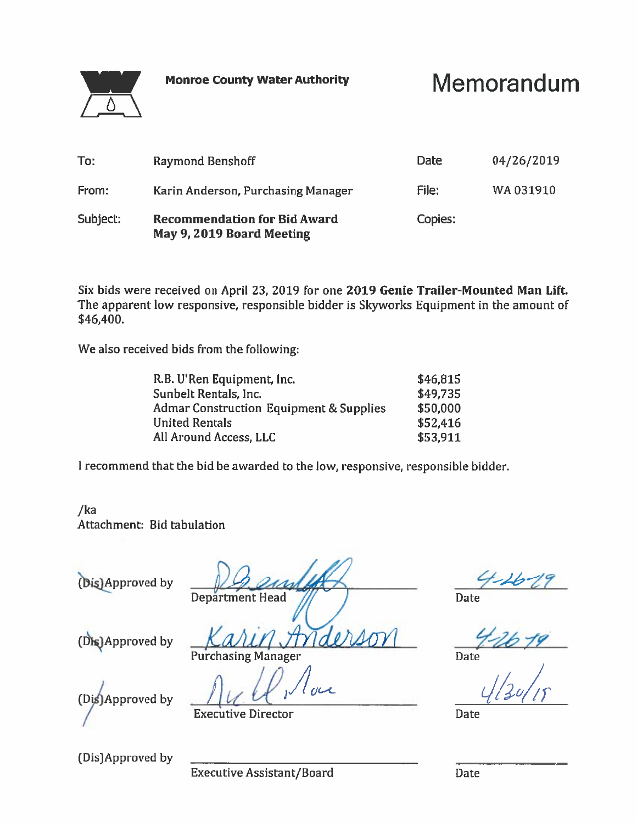**Monroe County Water Authority** 

# Memorandum



| To:      | <b>Raymond Benshoff</b>                                          | Date    | 04/26/2019 |
|----------|------------------------------------------------------------------|---------|------------|
| From:    | Karin Anderson, Purchasing Manager                               | File:   | WA031910   |
| Subject: | <b>Recommendation for Bid Award</b><br>May 9, 2019 Board Meeting | Copies: |            |

Six bids were received on April 23, 2019 for one 2019 Genie Trailer-Mounted Man Lift. The apparent low responsive, responsible bidder is Skyworks Equipment in the amount of \$46,400.

We also received bids from the following:

| R.B. U'Ren Equipment, Inc.              | \$46,815 |
|-----------------------------------------|----------|
| Sunbelt Rentals, Inc.                   | \$49,735 |
| Admar Construction Equipment & Supplies | \$50,000 |
| United Rentals                          | \$52,416 |
| All Around Access, LLC                  | \$53,911 |
|                                         |          |

I recommend that the bid be awarded to the low, responsive, responsible bidder.

 $/ka$ Attachment: Bid tabulation

(Dis)Approved by

**Department Head** 

Date<br>  $\frac{4}{26}$  19<br>
Date<br>  $\frac{1}{26}$ 

Date

(Dis)Approved by

derion **Purchasing Manager** 

(Dis)Approved by

**Executive Director** 

(Dis)Approved by

**Executive Assistant/Board** 

**Date**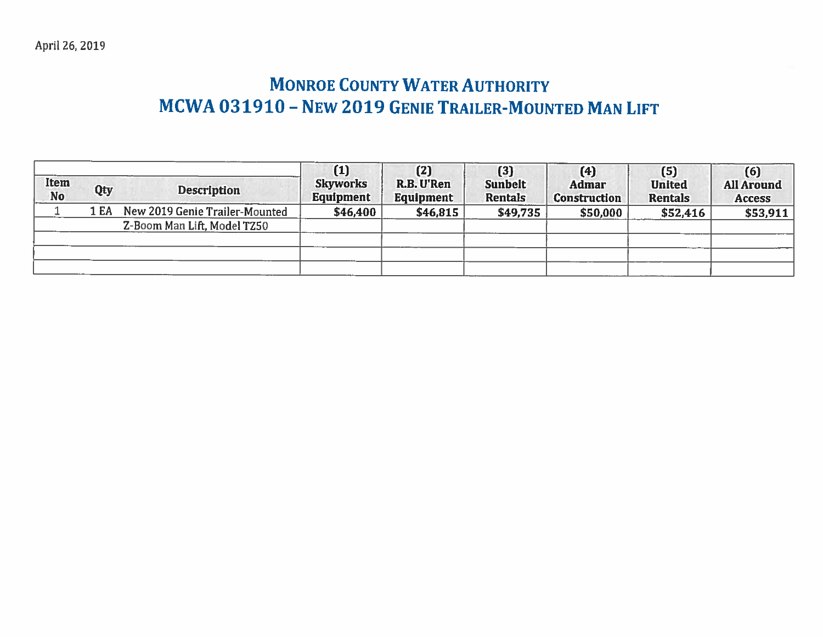# **MONROE COUNTY WATER AUTHORITY** MCWA 031910 - NEW 2019 GENIE TRAILER-MOUNTED MAN LIFT

| Item<br><b>No</b> | Qty  | <b>Description</b>             | (1)<br><b>Skyworks</b><br><b>Equipment</b> | (2)<br>R.B. U'Ren<br><b>Equipment</b> | (3)<br><b>Sunbelt</b><br><b>Rentals</b> | (4)<br><b>Admar</b><br><b>Construction</b> | (5)<br><b>United</b><br><b>Rentals</b> | (6)<br><b>All Around</b><br><b>Access</b> |
|-------------------|------|--------------------------------|--------------------------------------------|---------------------------------------|-----------------------------------------|--------------------------------------------|----------------------------------------|-------------------------------------------|
|                   | 1 EA | New 2019 Genie Trailer-Mounted | \$46,400                                   | \$46,815                              | \$49,735                                | \$50,000                                   | \$52,416                               | \$53,911                                  |
|                   |      | Z-Boom Man Lift, Model TZ50    |                                            |                                       |                                         |                                            |                                        |                                           |
|                   |      |                                |                                            |                                       |                                         |                                            |                                        |                                           |
|                   |      |                                |                                            |                                       |                                         |                                            |                                        |                                           |
|                   |      |                                |                                            |                                       |                                         |                                            |                                        |                                           |